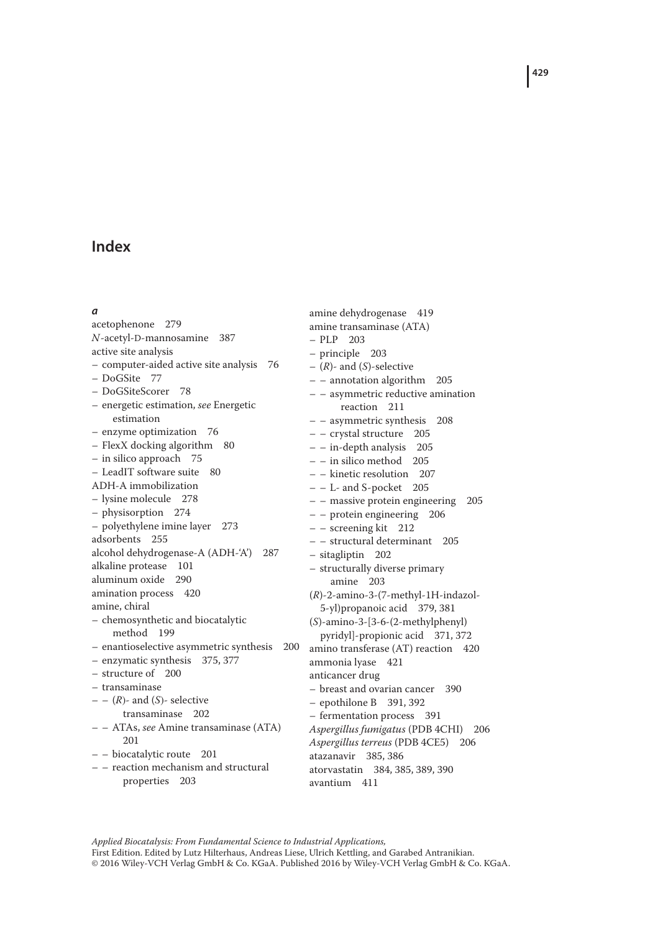#### *a*

acetophenone 279 *N*-acetyl-D-mannosamine 387 active site analysis – computer-aided active site analysis 76 – DoGSite 77 – DoGSiteScorer 78 – energetic estimation, *see* Energetic estimation – enzyme optimization 76 – FlexX docking algorithm 80 – in silico approach 75 – LeadIT software suite 80 ADH-A immobilization – lysine molecule 278 – physisorption 274 – polyethylene imine layer 273 adsorbents 255 alcohol dehydrogenase-A (ADH-'A') 287 alkaline protease 101 aluminum oxide 290 amination process 420 amine, chiral – chemosynthetic and biocatalytic method 199 – enantioselective asymmetric synthesis 200 – enzymatic synthesis 375, 377 – structure of 200 – transaminase ––(*R*)- and (*S*)- selective transaminase 202 – – ATAs, *see* Amine transaminase (ATA) 201 – – biocatalytic route 201 – – reaction mechanism and structural properties 203

amine dehydrogenase 419 amine transaminase (ATA) – PLP 203 – principle 203 – (*R*)- and (*S*)-selective – – annotation algorithm 205 – – asymmetric reductive amination reaction 211 – – asymmetric synthesis 208 – – crystal structure 205 – – in-depth analysis 205 – – in silico method 205 – – kinetic resolution 207 – – L- and S-pocket 205 – – massive protein engineering 205 – – protein engineering 206 – – screening kit 212 – – structural determinant 205 – sitagliptin 202 – structurally diverse primary amine 203 (*R*)-2-amino-3-(7-methyl-1H-indazol-5-yl)propanoic acid 379, 381 (*S*)-amino-3-[3-6-(2-methylphenyl) pyridyl]-propionic acid 371, 372 amino transferase (AT) reaction 420 ammonia lyase 421 anticancer drug – breast and ovarian cancer 390 – epothilone B 391, 392 – fermentation process 391 *Aspergillus fumigatus* (PDB 4CHI) 206 *Aspergillus terreus* (PDB 4CE5) 206 atazanavir 385, 386 atorvastatin 384, 385, 389, 390 avantium 411

*Applied Biocatalysis: From Fundamental Science to Industrial Applications,* First Edition. Edited by Lutz Hilterhaus, Andreas Liese, Ulrich Kettling, and Garabed Antranikian. © 2016 Wiley-VCH Verlag GmbH & Co. KGaA. Published 2016 by Wiley-VCH Verlag GmbH & Co. KGaA. **429**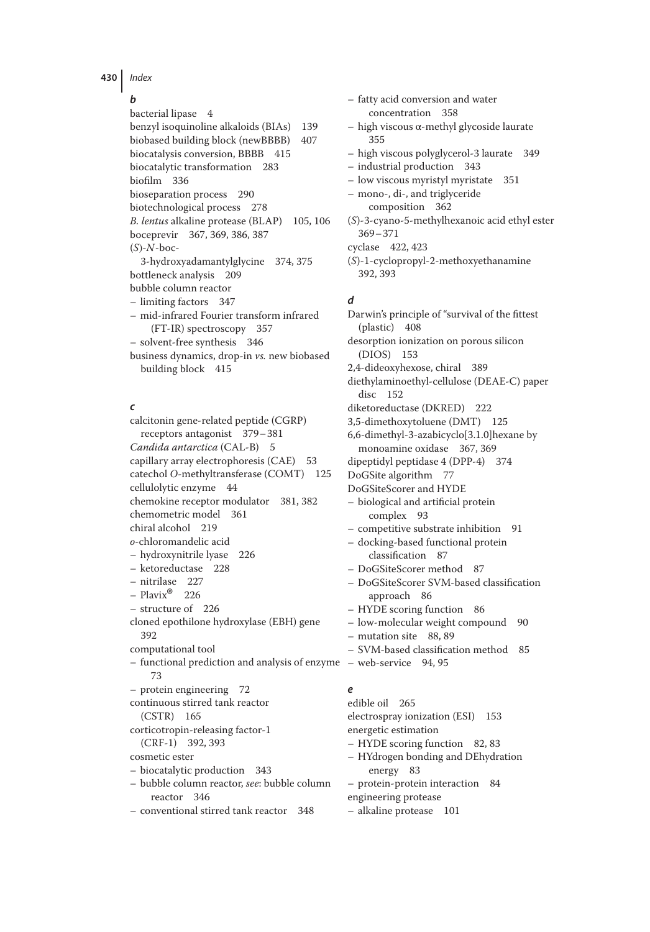## *b*

bacterial lipase 4 benzyl isoquinoline alkaloids (BIAs) 139 biobased building block (newBBBB) 407 biocatalysis conversion, BBBB 415 biocatalytic transformation 283 biofilm 336 bioseparation process 290 biotechnological process 278 *B. lentus* alkaline protease (BLAP) 105, 106 boceprevir 367, 369, 386, 387 (*S*)-*N*-boc-3-hydroxyadamantylglycine 374, 375 bottleneck analysis 209 bubble column reactor – limiting factors 347 – mid-infrared Fourier transform infrared (FT-IR) spectroscopy 357 – solvent-free synthesis 346 business dynamics, drop-in *vs.* new biobased building block 415

## *c*

calcitonin gene-related peptide (CGRP) receptors antagonist 379–381 *Candida antarctica* (CAL-B) 5 capillary array electrophoresis (CAE) 53 catechol *O*-methyltransferase (COMT) 125 cellulolytic enzyme 44 chemokine receptor modulator 381, 382 chemometric model 361 chiral alcohol 219 *o*-chloromandelic acid – hydroxynitrile lyase 226 – ketoreductase 228 – nitrilase 227  $-$  Plavix<sup>®</sup> 226 – structure of 226 cloned epothilone hydroxylase (EBH) gene 392 computational tool – functional prediction and analysis of enzyme – web-service 94, 95 73 – protein engineering 72 continuous stirred tank reactor (CSTR) 165 corticotropin-releasing factor-1 (CRF-1) 392, 393 cosmetic ester – biocatalytic production 343 – bubble column reactor, *see*: bubble column reactor 346 – conventional stirred tank reactor 348 *e*

– fatty acid conversion and water concentration 358 – high viscous α-methyl glycoside laurate 355 – high viscous polyglycerol-3 laurate 349 – industrial production 343 – low viscous myristyl myristate 351 – mono-, di-, and triglyceride composition 362 (*S*)-3-cyano-5-methylhexanoic acid ethyl ester 369–371 cyclase 422, 423 (*S*)-1-cyclopropyl-2-methoxyethanamine 392, 393

#### *d*

Darwin's principle of "survival of the fittest (plastic) 408 desorption ionization on porous silicon (DIOS) 153 2,4-dideoxyhexose, chiral 389 diethylaminoethyl-cellulose (DEAE-C) paper disc 152 diketoreductase (DKRED) 222 3,5-dimethoxytoluene (DMT) 125 6,6-dimethyl-3-azabicyclo[3.1.0]hexane by monoamine oxidase 367, 369 dipeptidyl peptidase 4 (DPP-4) 374 DoGSite algorithm 77 DoGSiteScorer and HYDE – biological and artificial protein complex 93 – competitive substrate inhibition 91 – docking-based functional protein classification 87 – DoGSiteScorer method 87 – DoGSiteScorer SVM-based classification approach 86 – HYDE scoring function 86 – low-molecular weight compound 90 – mutation site 88, 89 – SVM-based classification method 85 edible oil 265 electrospray ionization (ESI) 153 energetic estimation – HYDE scoring function 82, 83 – HYdrogen bonding and DEhydration

- energy 83 – protein-protein interaction 84
- engineering protease
- alkaline protease 101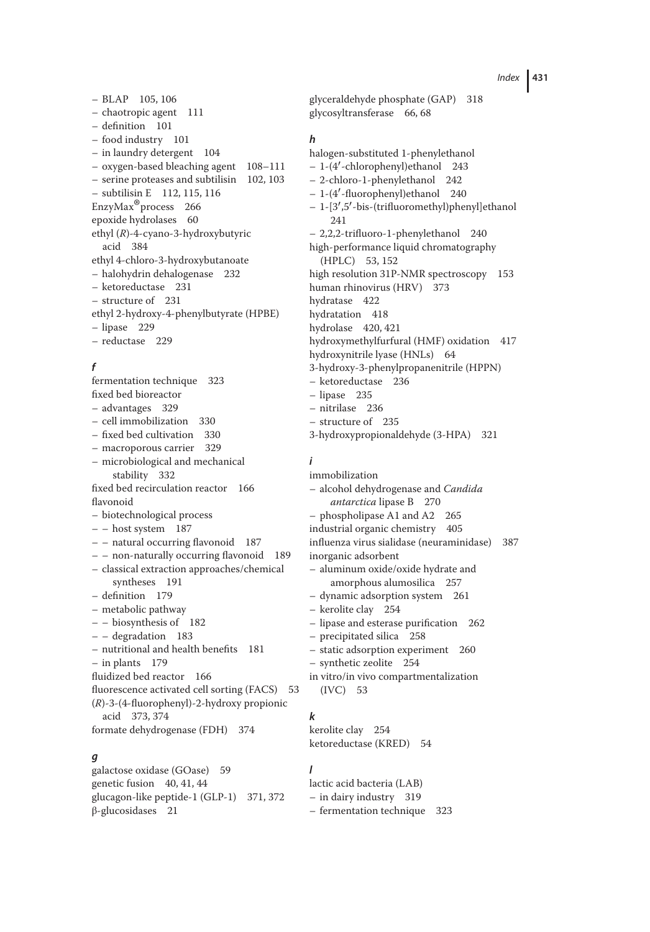– BLAP 105, 106 – chaotropic agent 111 – definition 101 – food industry 101 – in laundry detergent 104 – oxygen-based bleaching agent 108–111 – serine proteases and subtilisin 102, 103 – subtilisin E 112, 115, 116 EnzyMax®process 266 epoxide hydrolases 60 ethyl (*R*)-4-cyano-3-hydroxybutyric acid 384 ethyl 4-chloro-3-hydroxybutanoate – halohydrin dehalogenase 232 – ketoreductase 231 – structure of 231 ethyl 2-hydroxy-4-phenylbutyrate (HPBE) – lipase 229 – reductase 229

## *f*

fermentation technique 323 fixed bed bioreactor – advantages 329 – cell immobilization 330 – fixed bed cultivation 330 – macroporous carrier 329 – microbiological and mechanical stability 332 fixed bed recirculation reactor 166 flavonoid – biotechnological process – – host system 187 – – natural occurring flavonoid 187 – – non-naturally occurring flavonoid 189 – classical extraction approaches/chemical syntheses 191 – definition 179 – metabolic pathway – – biosynthesis of 182 – – degradation 183 – nutritional and health benefits 181 – in plants 179 fluidized bed reactor 166 fluorescence activated cell sorting (FACS) 53 (*R*)-3-(4-fluorophenyl)-2-hydroxy propionic acid 373, 374 formate dehydrogenase (FDH) 374

# *g*

galactose oxidase (GOase) 59 genetic fusion 40, 41, 44 glucagon-like peptide-1 (GLP-1) 371, 372 β-glucosidases 21

glyceraldehyde phosphate (GAP) 318 glycosyltransferase 66, 68

## *h*

halogen-substituted 1-phenylethanol – 1-(4′ -chlorophenyl)ethanol 243 – 2-chloro-1-phenylethanol 242 – 1-(4′ -fluorophenyl)ethanol 240 – 1-[3′ ,5′ -bis-(trifluoromethyl)phenyl]ethanol 241 – 2,2,2-trifluoro-1-phenylethanol 240 high-performance liquid chromatography (HPLC) 53, 152 high resolution 31P-NMR spectroscopy 153 human rhinovirus (HRV) 373 hydratase 422 hydratation 418 hydrolase 420, 421 hydroxymethylfurfural (HMF) oxidation 417 hydroxynitrile lyase (HNLs) 64 3-hydroxy-3-phenylpropanenitrile (HPPN) – ketoreductase 236 – lipase 235 – nitrilase 236 – structure of 235

3-hydroxypropionaldehyde (3-HPA) 321

#### *i*

immobilization – alcohol dehydrogenase and *Candida antarctica* lipase B 270 – phospholipase A1 and A2 265 industrial organic chemistry 405 influenza virus sialidase (neuraminidase) 387 inorganic adsorbent – aluminum oxide/oxide hydrate and amorphous alumosilica 257 – dynamic adsorption system 261 – kerolite clay 254 – lipase and esterase purification 262 – precipitated silica 258 – static adsorption experiment 260 – synthetic zeolite 254 in vitro/in vivo compartmentalization (IVC) 53

## *k*

kerolite clay 254 ketoreductase (KRED) 54

#### *l*

lactic acid bacteria (LAB) – in dairy industry 319 – fermentation technique 323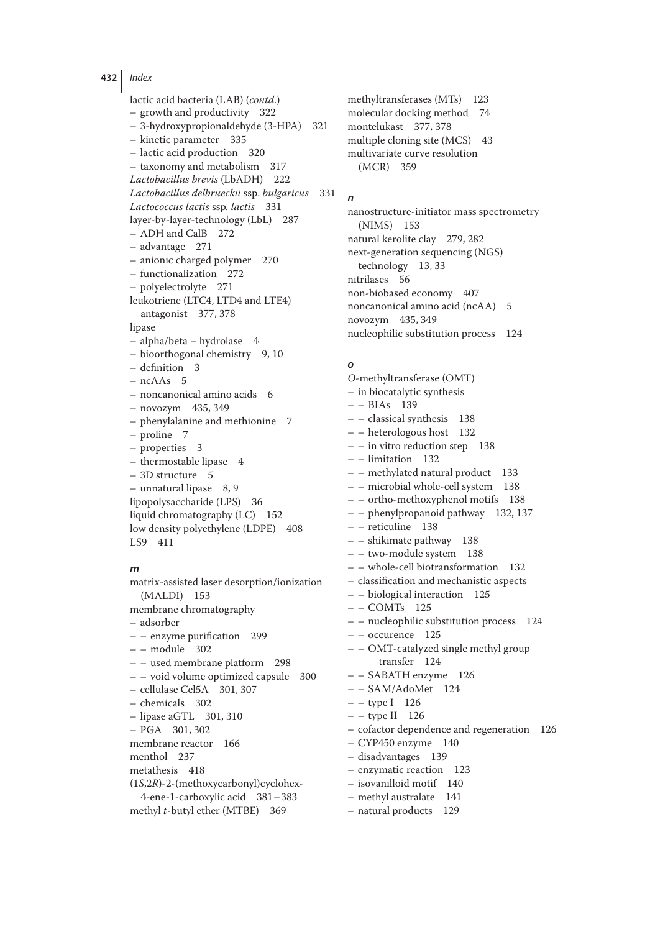lactic acid bacteria (LAB) (*contd*.) – growth and productivity 322 – 3-hydroxypropionaldehyde (3-HPA) 321 – kinetic parameter 335 – lactic acid production 320 – taxonomy and metabolism 317 *Lactobacillus brevis* (LbADH) 222 *Lactobacillus delbrueckii* ssp. *bulgaricus* 331 *Lactococcus lactis* ssp*. lactis* 331 layer-by-layer-technology (LbL) 287 – ADH and CalB 272 – advantage 271 – anionic charged polymer 270 – functionalization 272 – polyelectrolyte 271 leukotriene (LTC4, LTD4 and LTE4) antagonist 377, 378 lipase – alpha/beta – hydrolase 4 – bioorthogonal chemistry 9, 10 – definition 3 – ncAAs 5 – noncanonical amino acids 6 – novozym 435, 349 – phenylalanine and methionine 7 – proline 7 – properties 3 – thermostable lipase 4 – 3D structure 5 – unnatural lipase 8, 9 lipopolysaccharide (LPS) 36 liquid chromatography (LC) 152 low density polyethylene (LDPE) 408 LS9 411

## *m*

matrix-assisted laser desorption/ionization (MALDI) 153 membrane chromatography – adsorber – – enzyme purification 299 – – module 302 – – used membrane platform 298 – – void volume optimized capsule 300 – cellulase Cel5A 301, 307 – chemicals 302 – lipase aGTL 301, 310 – PGA 301, 302 membrane reactor 166 menthol 237 metathesis 418 (1*S*,2*R*)-2-(methoxycarbonyl)cyclohex-4-ene-1-carboxylic acid 381–383 methyl *t*-butyl ether (MTBE) 369

methyltransferases (MTs) 123 molecular docking method 74 montelukast 377, 378 multiple cloning site (MCS) 43 multivariate curve resolution (MCR) 359

#### *n*

nanostructure-initiator mass spectrometry (NIMS) 153 natural kerolite clay 279, 282 next-generation sequencing (NGS) technology 13, 33 nitrilases 56 non-biobased economy 407 noncanonical amino acid (ncAA) 5 novozym 435, 349 nucleophilic substitution process 124

#### *o*

*O*-methyltransferase (OMT) – in biocatalytic synthesis  $- - BIAs$  139 – – classical synthesis 138 – – heterologous host 132 – – in vitro reduction step 138 – – limitation 132 – – methylated natural product 133 – – microbial whole-cell system 138 – – ortho-methoxyphenol motifs 138 – – phenylpropanoid pathway 132, 137 – – reticuline 138 – – shikimate pathway 138 – – two-module system 138 – – whole-cell biotransformation 132 – classification and mechanistic aspects – – biological interaction 125 – – COMTs 125 – – nucleophilic substitution process 124 – – occurence 125 – – OMT-catalyzed single methyl group transfer 124 – – SABATH enzyme 126 – – SAM/AdoMet 124 – – type I 126 – – type II 126 – cofactor dependence and regeneration 126 – CYP450 enzyme 140 – disadvantages 139 – enzymatic reaction 123 – isovanilloid motif 140 – methyl australate 141 – natural products 129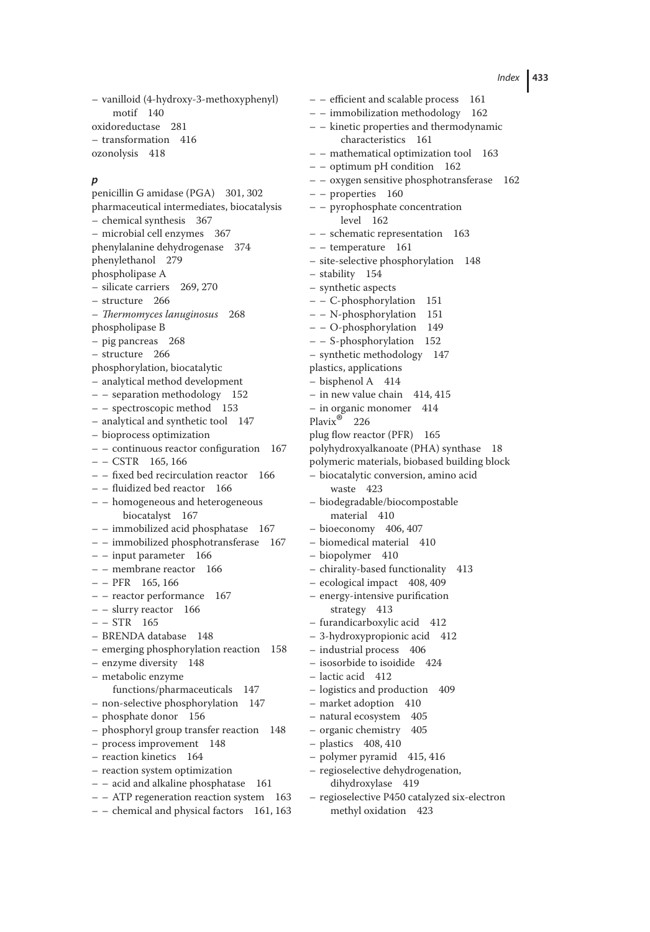– vanilloid (4-hydroxy-3-methoxyphenyl) motif 140 oxidoreductase 281 – transformation 416 ozonolysis 418

#### *p*

penicillin G amidase (PGA) 301, 302 pharmaceutical intermediates, biocatalysis – chemical synthesis 367 – microbial cell enzymes 367 phenylalanine dehydrogenase 374 phenylethanol 279 phospholipase A – silicate carriers 269, 270 – structure 266 – *Thermomyces lanuginosus* 268 phospholipase B – pig pancreas 268 – structure 266 phosphorylation, biocatalytic – analytical method development – – separation methodology 152 – – spectroscopic method 153 – analytical and synthetic tool 147 – bioprocess optimization – – continuous reactor configuration 167  $- - \text{CSTR}$  165, 166 – – fixed bed recirculation reactor 166 – – fluidized bed reactor 166 – – homogeneous and heterogeneous biocatalyst 167 – – immobilized acid phosphatase 167 – – immobilized phosphotransferase 167 – – input parameter 166 – – membrane reactor 166  $- - PFR$  165, 166 – – reactor performance 167 – – slurry reactor 166  $- - STR$  165 – BRENDA database 148 – emerging phosphorylation reaction 158 – enzyme diversity 148 – metabolic enzyme functions/pharmaceuticals 147 – non-selective phosphorylation 147 – phosphate donor 156 – phosphoryl group transfer reaction 148 – process improvement 148 – reaction kinetics 164 – reaction system optimization – – acid and alkaline phosphatase 161 – – ATP regeneration reaction system 163 – – chemical and physical factors 161, 163 – – immobilization methodology 162 – – kinetic properties and thermodynamic characteristics 161 – – mathematical optimization tool 163  $-$  – optimum pH condition 162 – – oxygen sensitive phosphotransferase 162 – – properties 160 – – pyrophosphate concentration level 162 – – schematic representation 163 – – temperature 161 – site-selective phosphorylation 148 – stability 154 – synthetic aspects – – C-phosphorylation 151 – – N-phosphorylation 151 – – O-phosphorylation 149 – – S-phosphorylation 152 – synthetic methodology 147 plastics, applications – bisphenol A 414 – in new value chain 414, 415 – in organic monomer 414 Plavix® <sup>226</sup> plug flow reactor (PFR) 165 polyhydroxyalkanoate (PHA) synthase 18 polymeric materials, biobased building block – biocatalytic conversion, amino acid waste 423 – biodegradable/biocompostable material 410 – bioeconomy 406, 407 – biomedical material 410 – biopolymer 410 – chirality-based functionality 413 – ecological impact 408, 409 – energy-intensive purification strategy 413 – furandicarboxylic acid 412 – 3-hydroxypropionic acid 412 – industrial process 406 – isosorbide to isoidide 424 – lactic acid 412 – logistics and production 409 – market adoption 410 – natural ecosystem 405 – organic chemistry 405 – plastics 408, 410 – polymer pyramid 415, 416 – regioselective dehydrogenation, dihydroxylase 419

– – efficient and scalable process 161

– regioselective P450 catalyzed six-electron methyl oxidation 423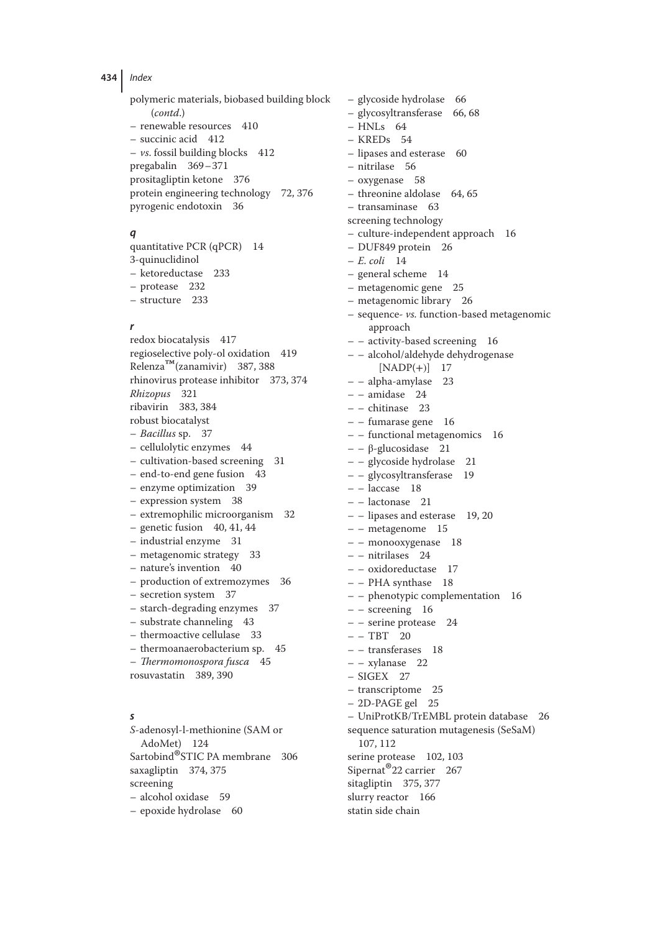polymeric materials, biobased building block (*contd*.) – renewable resources 410 – succinic acid 412  $- vs. fossil building blocks 412$ pregabalin 369–371 prositagliptin ketone 376 protein engineering technology 72, 376 pyrogenic endotoxin 36

# *q*

quantitative PCR (qPCR) 14 3-quinuclidinol – ketoreductase 233 – protease 232 – structure 233

#### *r*

redox biocatalysis 417 regioselective poly-ol oxidation 419 Relenza™(zanamivir) 387, 388 rhinovirus protease inhibitor 373, 374 *Rhizopus* 321 ribavirin 383, 384 robust biocatalyst – *Bacillus* sp. 37 – cellulolytic enzymes 44 – cultivation-based screening 31 – end-to-end gene fusion 43 – enzyme optimization 39 – expression system 38 – extremophilic microorganism 32  $-$  genetic fusion 40, 41, 44 – industrial enzyme 31 – metagenomic strategy 33 – nature's invention 40 – production of extremozymes 36 – secretion system 37 – starch-degrading enzymes 37 – substrate channeling 43 – thermoactive cellulase 33 – thermoanaerobacterium sp. 45 – *Thermomonospora fusca* 45 rosuvastatin 389, 390 *s S*-adenosyl-l-methionine (SAM or AdoMet) 124

Sartobind®STIC PA membrane 306 saxagliptin 374, 375 screening – alcohol oxidase 59 – epoxide hydrolase 60

– glycoside hydrolase 66 – glycosyltransferase 66, 68 – HNLs 64 – KREDs 54 – lipases and esterase 60 – nitrilase 56 – oxygenase 58 – threonine aldolase 64, 65 – transaminase 63 screening technology – culture-independent approach 16 – DUF849 protein 26 – *E. coli* 14 – general scheme 14 – metagenomic gene 25 – metagenomic library 26 – sequence- *vs.* function-based metagenomic approach – – activity-based screening 16 – – alcohol/aldehyde dehydrogenase  $[NADP(+)]$  17 – – alpha-amylase 23 – – amidase 24 – – chitinase 23 – – fumarase gene 16 – – functional metagenomics 16 – – β-glucosidase 21 – – glycoside hydrolase 21 – – glycosyltransferase 19  $-$  – laccase 18 – – lactonase 21 – – lipases and esterase 19, 20 – – metagenome 15 – – monooxygenase 18 – – nitrilases 24 – – oxidoreductase 17 – – PHA synthase 18 – – phenotypic complementation 16 – – screening 16 – – serine protease 24  $-- TBT 20$ – – transferases 18 – – xylanase 22  $-$  SIGEX 27 – transcriptome 25 – 2D-PAGE gel 25 – UniProtKB/TrEMBL protein database 26 sequence saturation mutagenesis (SeSaM) 107, 112 serine protease 102, 103 Sipernat<sup>®</sup>22 carrier 267 sitagliptin 375, 377 slurry reactor 166 statin side chain